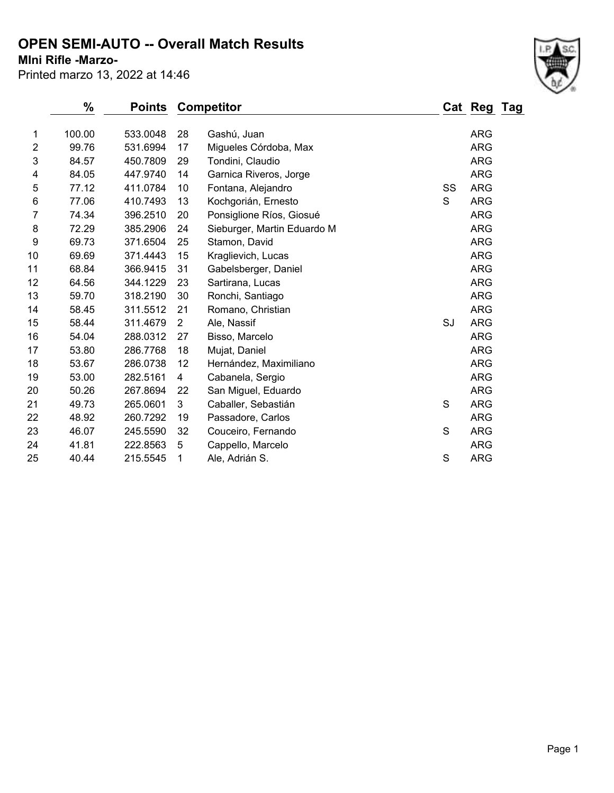## **OPEN SEMI-AUTO -- Overall Match Results**

**MIni Rifle -Marzo-**

Printed marzo 13, 2022 at 14:46



|                | %      | Points   |                | <b>Competitor</b>           |    | Cat Reg Tag |  |
|----------------|--------|----------|----------------|-----------------------------|----|-------------|--|
| 1              | 100.00 | 533.0048 | 28             | Gashú, Juan                 |    | <b>ARG</b>  |  |
| $\overline{2}$ | 99.76  | 531.6994 | 17             | Migueles Córdoba, Max       |    | <b>ARG</b>  |  |
| 3              | 84.57  | 450.7809 | 29             | Tondini, Claudio            |    | <b>ARG</b>  |  |
| 4              | 84.05  | 447.9740 | 14             | Garnica Riveros, Jorge      |    | <b>ARG</b>  |  |
| 5              | 77.12  | 411.0784 | 10             | Fontana, Alejandro          | SS | <b>ARG</b>  |  |
| 6              | 77.06  | 410.7493 | 13             | Kochgorián, Ernesto         | S  | <b>ARG</b>  |  |
| 7              | 74.34  | 396.2510 | 20             | Ponsiglione Ríos, Giosué    |    | <b>ARG</b>  |  |
| 8              | 72.29  | 385.2906 | 24             | Sieburger, Martin Eduardo M |    | <b>ARG</b>  |  |
| 9              | 69.73  | 371.6504 | 25             | Stamon, David               |    | <b>ARG</b>  |  |
| 10             | 69.69  | 371.4443 | 15             | Kraglievich, Lucas          |    | <b>ARG</b>  |  |
| 11             | 68.84  | 366.9415 | 31             | Gabelsberger, Daniel        |    | <b>ARG</b>  |  |
| 12             | 64.56  | 344.1229 | 23             | Sartirana, Lucas            |    | <b>ARG</b>  |  |
| 13             | 59.70  | 318.2190 | 30             | Ronchi, Santiago            |    | <b>ARG</b>  |  |
| 14             | 58.45  | 311.5512 | 21             | Romano, Christian           |    | <b>ARG</b>  |  |
| 15             | 58.44  | 311.4679 | $\overline{2}$ | Ale, Nassif                 | SJ | <b>ARG</b>  |  |
| 16             | 54.04  | 288.0312 | 27             | Bisso, Marcelo              |    | <b>ARG</b>  |  |
| 17             | 53.80  | 286.7768 | 18             | Mujat, Daniel               |    | <b>ARG</b>  |  |
| 18             | 53.67  | 286.0738 | 12             | Hernández, Maximiliano      |    | <b>ARG</b>  |  |
| 19             | 53.00  | 282.5161 | 4              | Cabanela, Sergio            |    | <b>ARG</b>  |  |
| 20             | 50.26  | 267.8694 | 22             | San Miguel, Eduardo         |    | <b>ARG</b>  |  |
| 21             | 49.73  | 265.0601 | 3              | Caballer, Sebastián         | S  | <b>ARG</b>  |  |
| 22             | 48.92  | 260.7292 | 19             | Passadore, Carlos           |    | <b>ARG</b>  |  |
| 23             | 46.07  | 245.5590 | 32             | Couceiro, Fernando          | S  | <b>ARG</b>  |  |
| 24             | 41.81  | 222.8563 | 5              | Cappello, Marcelo           |    | <b>ARG</b>  |  |
| 25             | 40.44  | 215.5545 | 1              | Ale, Adrián S.              | S  | <b>ARG</b>  |  |